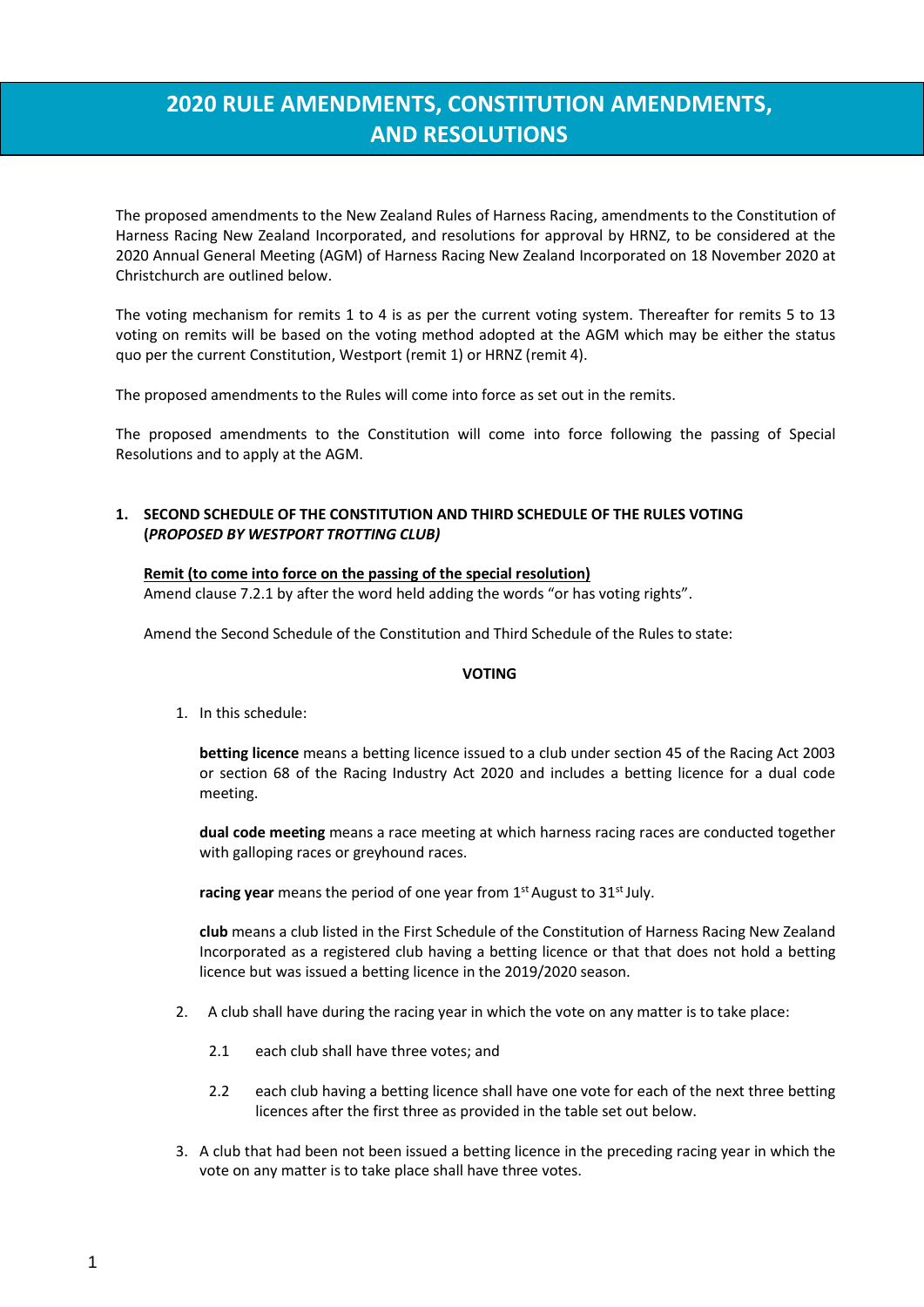# **2020 RULE AMENDMENTS, CONSTITUTION AMENDMENTS, AND RESOLUTIONS**

The proposed amendments to the New Zealand Rules of Harness Racing, amendments to the Constitution of Harness Racing New Zealand Incorporated, and resolutions for approval by HRNZ, to be considered at the 2020 Annual General Meeting (AGM) of Harness Racing New Zealand Incorporated on 18 November 2020 at Christchurch are outlined below.

The voting mechanism for remits 1 to 4 is as per the current voting system. Thereafter for remits 5 to 13 voting on remits will be based on the voting method adopted at the AGM which may be either the status quo per the current Constitution, Westport (remit 1) or HRNZ (remit 4).

The proposed amendments to the Rules will come into force as set out in the remits.

The proposed amendments to the Constitution will come into force following the passing of Special Resolutions and to apply at the AGM.

# **1. SECOND SCHEDULE OF THE CONSTITUTION AND THIRD SCHEDULE OF THE RULES VOTING (***PROPOSED BY WESTPORT TROTTING CLUB)*

#### **Remit (to come into force on the passing of the special resolution)**

Amend clause 7.2.1 by after the word held adding the words "or has voting rights".

Amend the Second Schedule of the Constitution and Third Schedule of the Rules to state:

# **VOTING**

1. In this schedule:

**betting licence** means a betting licence issued to a club under section 45 of the Racing Act 2003 or section 68 of the Racing Industry Act 2020 and includes a betting licence for a dual code meeting.

**dual code meeting** means a race meeting at which harness racing races are conducted together with galloping races or greyhound races.

**racing year** means the period of one year from 1<sup>st</sup> August to 31<sup>st</sup> July.

**club** means a club listed in the First Schedule of the Constitution of Harness Racing New Zealand Incorporated as a registered club having a betting licence or that that does not hold a betting licence but was issued a betting licence in the 2019/2020 season.

- 2. A club shall have during the racing year in which the vote on any matter is to take place:
	- 2.1 each club shall have three votes; and
	- 2.2 each club having a betting licence shall have one vote for each of the next three betting licences after the first three as provided in the table set out below.
- 3. A club that had been not been issued a betting licence in the preceding racing year in which the vote on any matter is to take place shall have three votes.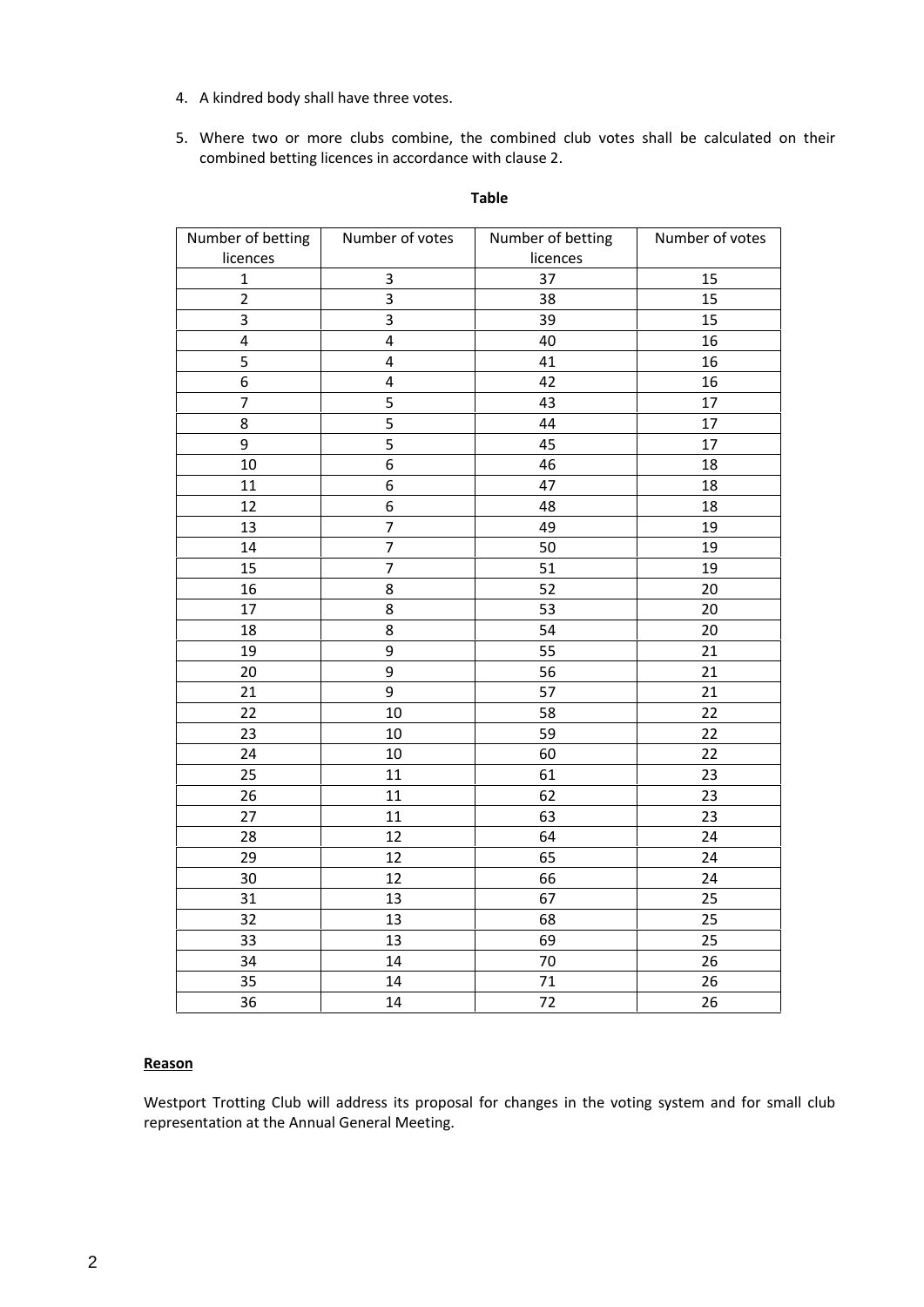- 4. A kindred body shall have three votes.
- 5. Where two or more clubs combine, the combined club votes shall be calculated on their combined betting licences in accordance with clause 2.

| Number of betting       | Number of votes | Number of betting | Number of votes |
|-------------------------|-----------------|-------------------|-----------------|
| licences                |                 | licences          |                 |
| $\mathbf{1}$            | 3               | 37                | 15              |
| $\overline{2}$          | 3               | 38                | 15              |
| 3                       | 3               | 39                | 15              |
| $\overline{\mathbf{4}}$ | $\overline{4}$  | 40                | 16              |
| 5                       | 4               | 41                | 16              |
| $\boldsymbol{6}$        | $\overline{4}$  | 42                | 16              |
| $\overline{7}$          | 5               | 43                | 17              |
| 8                       | 5               | 44                | 17              |
| 9                       | 5               | 45                | 17              |
| $10\,$                  | 6               | 46                | 18              |
| 11                      | 6               | 47                | 18              |
| 12                      | 6               | 48                | 18              |
| 13                      | $\overline{7}$  | 49                | 19              |
| 14                      | $\overline{7}$  | 50                | 19              |
| 15                      | $\overline{7}$  | 51                | 19              |
| 16                      | 8               | 52                | 20              |
| 17                      | 8               | 53                | 20              |
| 18                      | 8               | 54                | 20              |
| 19                      | 9               | 55                | 21              |
| 20                      | 9               | 56                | 21              |
| 21                      | 9               | 57                | 21              |
| 22                      | 10              | 58                | 22              |
| 23                      | 10              | 59                | 22              |
| 24                      | 10              | 60                | 22              |
| 25                      | 11              | 61                | 23              |
| 26                      | 11              | 62                | 23              |
| 27                      | 11              | 63                | 23              |
| 28                      | 12              | 64                | 24              |
| 29                      | 12              | 65                | 24              |
| 30                      | 12              | 66                | 24              |
| 31                      | 13              | 67                | 25              |
| 32                      | 13              | 68                | 25              |
| 33                      | 13              | 69                | 25              |
| 34                      | 14              | 70                | 26              |
| 35                      | 14              | 71                | 26              |
| 36                      | 14              | 72                | 26              |

#### **Table**

# **Reason**

Westport Trotting Club will address its proposal for changes in the voting system and for small club representation at the Annual General Meeting.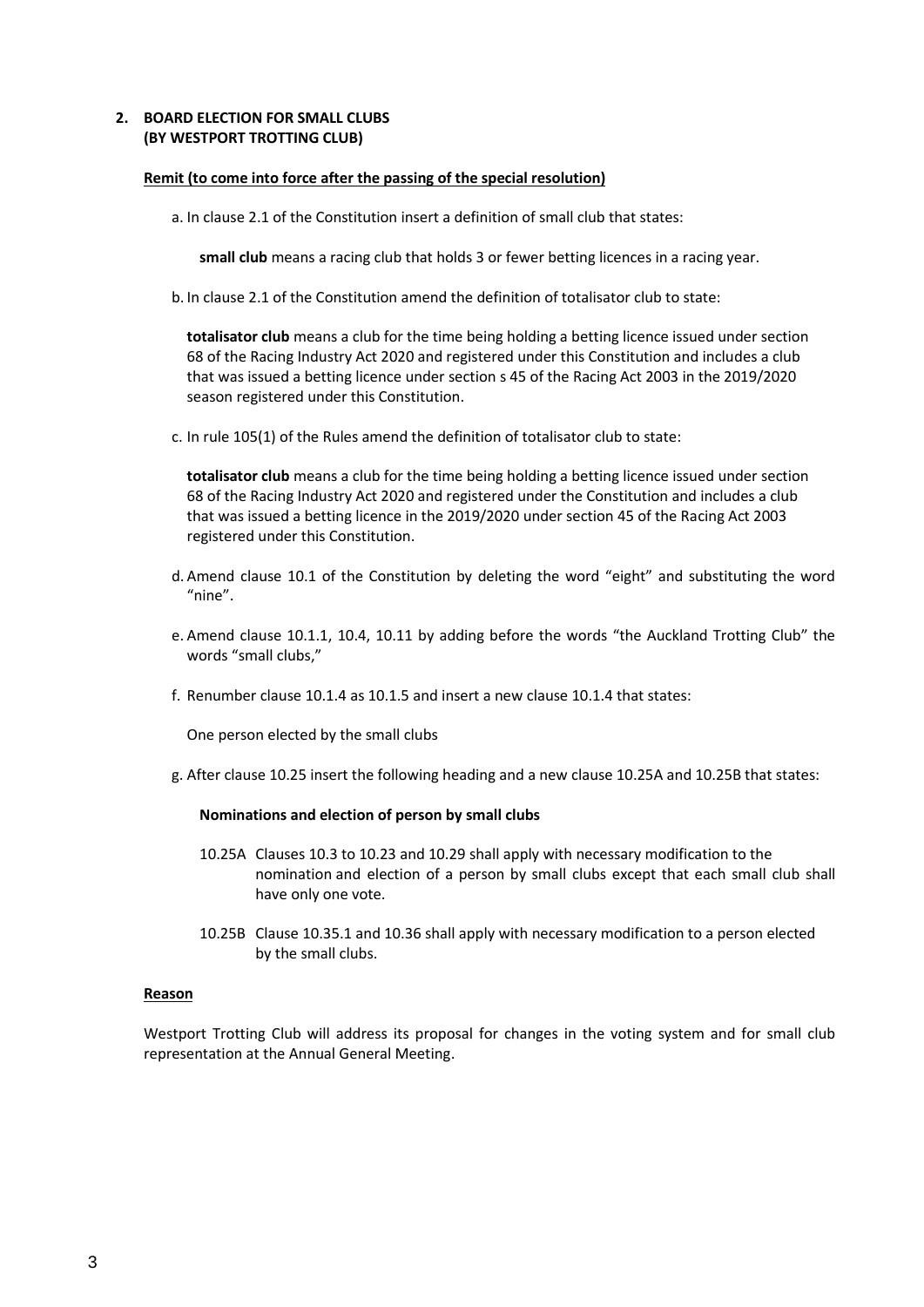# **2. BOARD ELECTION FOR SMALL CLUBS (BY WESTPORT TROTTING CLUB)**

#### **Remit (to come into force after the passing of the special resolution)**

a. In clause 2.1 of the Constitution insert a definition of small club that states:

**small club** means a racing club that holds 3 or fewer betting licences in a racing year.

b. In clause 2.1 of the Constitution amend the definition of totalisator club to state:

**totalisator club** means a club for the time being holding a betting licence issued under section 68 of the Racing Industry Act 2020 and registered under this Constitution and includes a club that was issued a betting licence under section s 45 of the Racing Act 2003 in the 2019/2020 season registered under this Constitution.

c. In rule 105(1) of the Rules amend the definition of totalisator club to state:

**totalisator club** means a club for the time being holding a betting licence issued under section 68 of the Racing Industry Act 2020 and registered under the Constitution and includes a club that was issued a betting licence in the 2019/2020 under section 45 of the Racing Act 2003 registered under this Constitution.

- d. Amend clause 10.1 of the Constitution by deleting the word "eight" and substituting the word "nine".
- e. Amend clause 10.1.1, 10.4, 10.11 by adding before the words "the Auckland Trotting Club" the words "small clubs,"
- f. Renumber clause 10.1.4 as 10.1.5 and insert a new clause 10.1.4 that states:

One person elected by the small clubs

g. After clause 10.25 insert the following heading and a new clause 10.25A and 10.25B that states:

# **Nominations and election of person by small clubs**

- 10.25A Clauses 10.3 to 10.23 and 10.29 shall apply with necessary modification to the nomination and election of a person by small clubs except that each small club shall have only one vote.
- 10.25B Clause 10.35.1 and 10.36 shall apply with necessary modification to a person elected by the small clubs.

# **Reason**

Westport Trotting Club will address its proposal for changes in the voting system and for small club representation at the Annual General Meeting.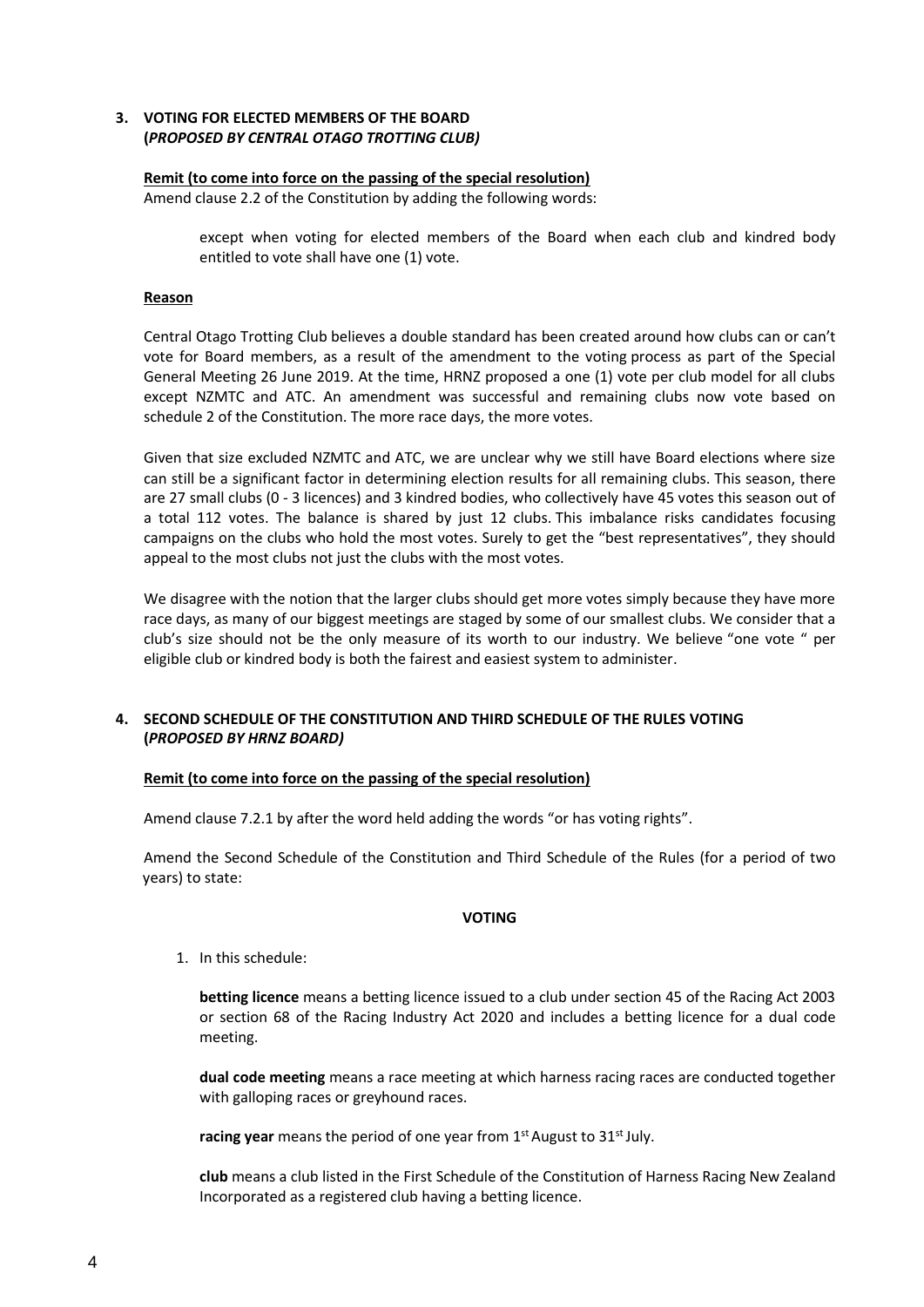# **3. VOTING FOR ELECTED MEMBERS OF THE BOARD (***PROPOSED BY CENTRAL OTAGO TROTTING CLUB)*

## **Remit (to come into force on the passing of the special resolution)**

Amend clause 2.2 of the Constitution by adding the following words:

except when voting for elected members of the Board when each club and kindred body entitled to vote shall have one (1) vote.

## **Reason**

Central Otago Trotting Club believes a double standard has been created around how clubs can or can't vote for Board members, as a result of the amendment to the voting process as part of the Special General Meeting 26 June 2019. At the time, HRNZ proposed a one (1) vote per club model for all clubs except NZMTC and ATC. An amendment was successful and remaining clubs now vote based on schedule 2 of the Constitution. The more race days, the more votes.

Given that size excluded NZMTC and ATC, we are unclear why we still have Board elections where size can still be a significant factor in determining election results for all remaining clubs. This season, there are 27 small clubs (0 - 3 licences) and 3 kindred bodies, who collectively have 45 votes this season out of a total 112 votes. The balance is shared by just 12 clubs. This imbalance risks candidates focusing campaigns on the clubs who hold the most votes. Surely to get the "best representatives", they should appeal to the most clubs not just the clubs with the most votes.

We disagree with the notion that the larger clubs should get more votes simply because they have more race days, as many of our biggest meetings are staged by some of our smallest clubs. We consider that a club's size should not be the only measure of its worth to our industry. We believe "one vote " per eligible club or kindred body is both the fairest and easiest system to administer.

# **4. SECOND SCHEDULE OF THE CONSTITUTION AND THIRD SCHEDULE OF THE RULES VOTING (***PROPOSED BY HRNZ BOARD)*

# **Remit (to come into force on the passing of the special resolution)**

Amend clause 7.2.1 by after the word held adding the words "or has voting rights".

Amend the Second Schedule of the Constitution and Third Schedule of the Rules (for a period of two years) to state:

# **VOTING**

1. In this schedule:

**betting licence** means a betting licence issued to a club under section 45 of the Racing Act 2003 or section 68 of the Racing Industry Act 2020 and includes a betting licence for a dual code meeting.

**dual code meeting** means a race meeting at which harness racing races are conducted together with galloping races or greyhound races.

racing year means the period of one year from 1<sup>st</sup> August to 31<sup>st</sup> July.

**club** means a club listed in the First Schedule of the Constitution of Harness Racing New Zealand Incorporated as a registered club having a betting licence.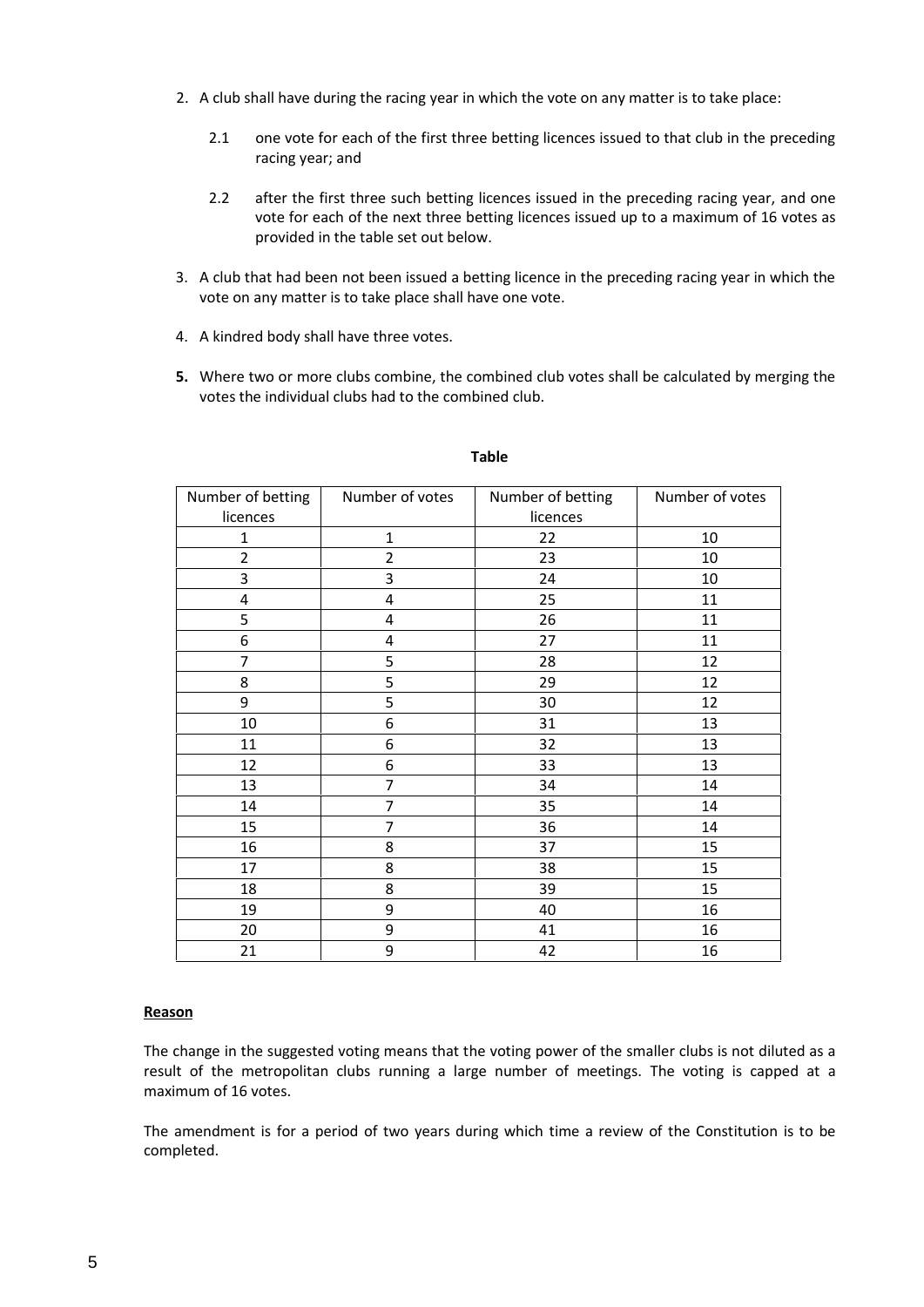- 2. A club shall have during the racing year in which the vote on any matter is to take place:
	- 2.1 one vote for each of the first three betting licences issued to that club in the preceding racing year; and
	- 2.2 after the first three such betting licences issued in the preceding racing year, and one vote for each of the next three betting licences issued up to a maximum of 16 votes as provided in the table set out below.
- 3. A club that had been not been issued a betting licence in the preceding racing year in which the vote on any matter is to take place shall have one vote.
- 4. A kindred body shall have three votes.
- **5.** Where two or more clubs combine, the combined club votes shall be calculated by merging the votes the individual clubs had to the combined club.

| Number of betting       | Number of votes | Number of betting | Number of votes |
|-------------------------|-----------------|-------------------|-----------------|
| licences                |                 | licences          |                 |
| 1                       | 1               | 22                | 10              |
| $\overline{2}$          | $\overline{2}$  | 23                | 10              |
| 3                       | 3               | 24                | 10              |
| $\overline{\mathbf{4}}$ | 4               | 25                | 11              |
| 5                       | 4               | 26                | 11              |
| 6                       | 4               | 27                | 11              |
| $\overline{7}$          | 5               | 28                | 12              |
| 8                       | 5               | 29                | 12              |
| 9                       | 5               | 30                | 12              |
| 10                      | 6               | 31                | 13              |
| 11                      | 6               | 32                | 13              |
| 12                      | 6               | 33                | 13              |
| 13                      | 7               | 34                | 14              |
| 14                      | 7               | 35                | 14              |
| 15                      | 7               | 36                | 14              |
| 16                      | 8               | 37                | 15              |
| 17                      | 8               | 38                | 15              |
| 18                      | 8               | 39                | 15              |
| 19                      | 9               | 40                | 16              |
| 20                      | 9               | 41                | 16              |
| 21                      | 9               | 42                | 16              |

#### **Table**

# **Reason**

The change in the suggested voting means that the voting power of the smaller clubs is not diluted as a result of the metropolitan clubs running a large number of meetings. The voting is capped at a maximum of 16 votes.

The amendment is for a period of two years during which time a review of the Constitution is to be completed.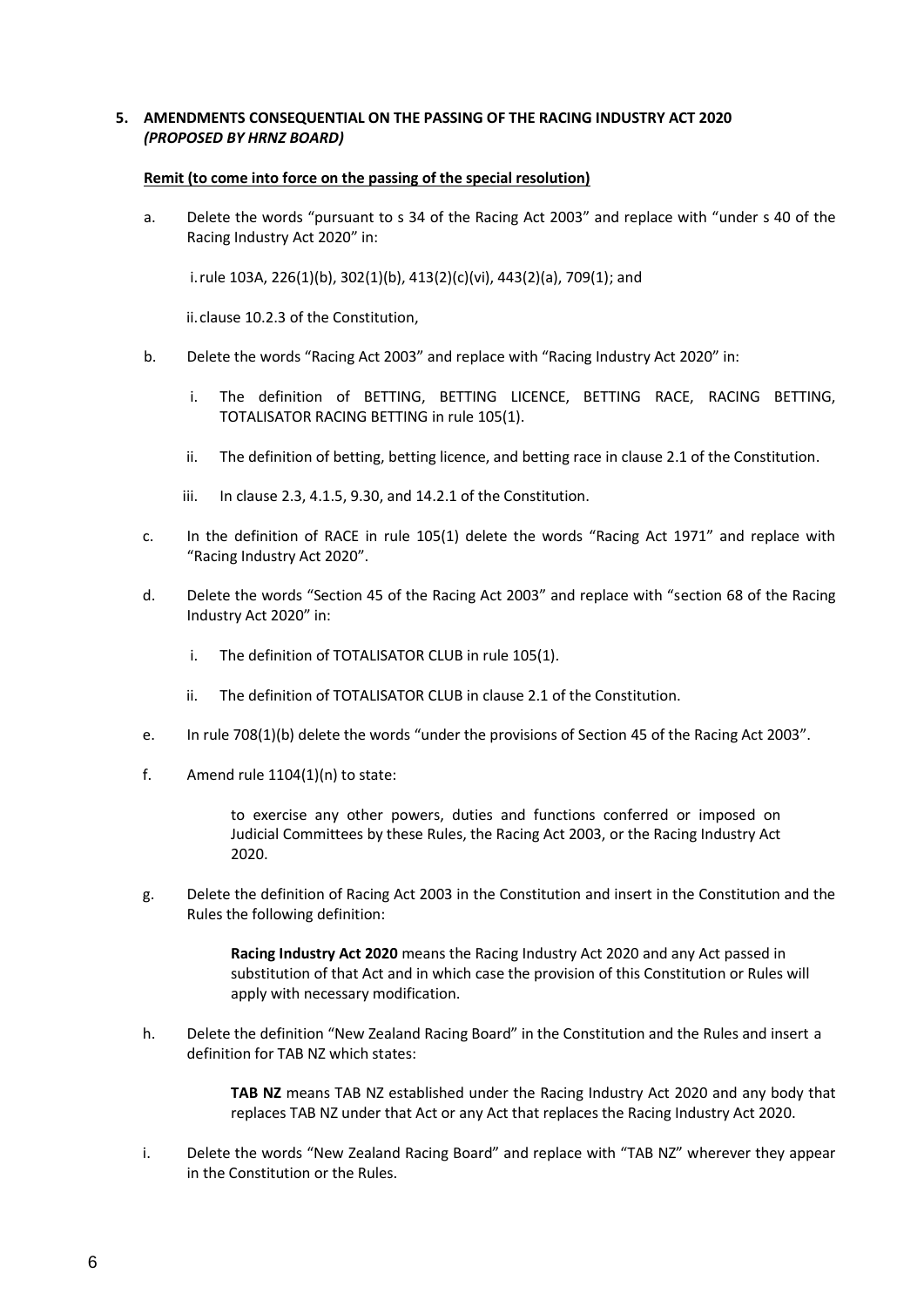# **5. AMENDMENTS CONSEQUENTIAL ON THE PASSING OF THE RACING INDUSTRY ACT 2020** *(PROPOSED BY HRNZ BOARD)*

#### **Remit (to come into force on the passing of the special resolution)**

a. Delete the words "pursuant to s 34 of the Racing Act 2003" and replace with "under s 40 of the Racing Industry Act 2020" in:

i.rule 103A, 226(1)(b), 302(1)(b), 413(2)(c)(vi), 443(2)(a), 709(1); and

ii.clause 10.2.3 of the Constitution,

- b. Delete the words "Racing Act 2003" and replace with "Racing Industry Act 2020" in:
	- i. The definition of BETTING, BETTING LICENCE, BETTING RACE, RACING BETTING, TOTALISATOR RACING BETTING in rule 105(1).
	- ii. The definition of betting, betting licence, and betting race in clause 2.1 of the Constitution.
	- iii. In clause 2.3, 4.1.5, 9.30, and 14.2.1 of the Constitution.
- c. In the definition of RACE in rule 105(1) delete the words "Racing Act 1971" and replace with "Racing Industry Act 2020".
- d. Delete the words "Section 45 of the Racing Act 2003" and replace with "section 68 of the Racing Industry Act 2020" in:
	- i. The definition of TOTALISATOR CLUB in rule 105(1).
	- ii. The definition of TOTALISATOR CLUB in clause 2.1 of the Constitution.
- e. In rule 708(1)(b) delete the words "under the provisions of Section 45 of the Racing Act 2003".
- f. Amend rule 1104(1)(n) to state:

to exercise any other powers, duties and functions conferred or imposed on Judicial Committees by these Rules, the Racing Act 2003, or the Racing Industry Act 2020.

g. Delete the definition of Racing Act 2003 in the Constitution and insert in the Constitution and the Rules the following definition:

> **Racing Industry Act 2020** means the Racing Industry Act 2020 and any Act passed in substitution of that Act and in which case the provision of this Constitution or Rules will apply with necessary modification.

h. Delete the definition "New Zealand Racing Board" in the Constitution and the Rules and insert a definition for TAB NZ which states:

> **TAB NZ** means TAB NZ established under the Racing Industry Act 2020 and any body that replaces TAB NZ under that Act or any Act that replaces the Racing Industry Act 2020.

i. Delete the words "New Zealand Racing Board" and replace with "TAB NZ" wherever they appear in the Constitution or the Rules.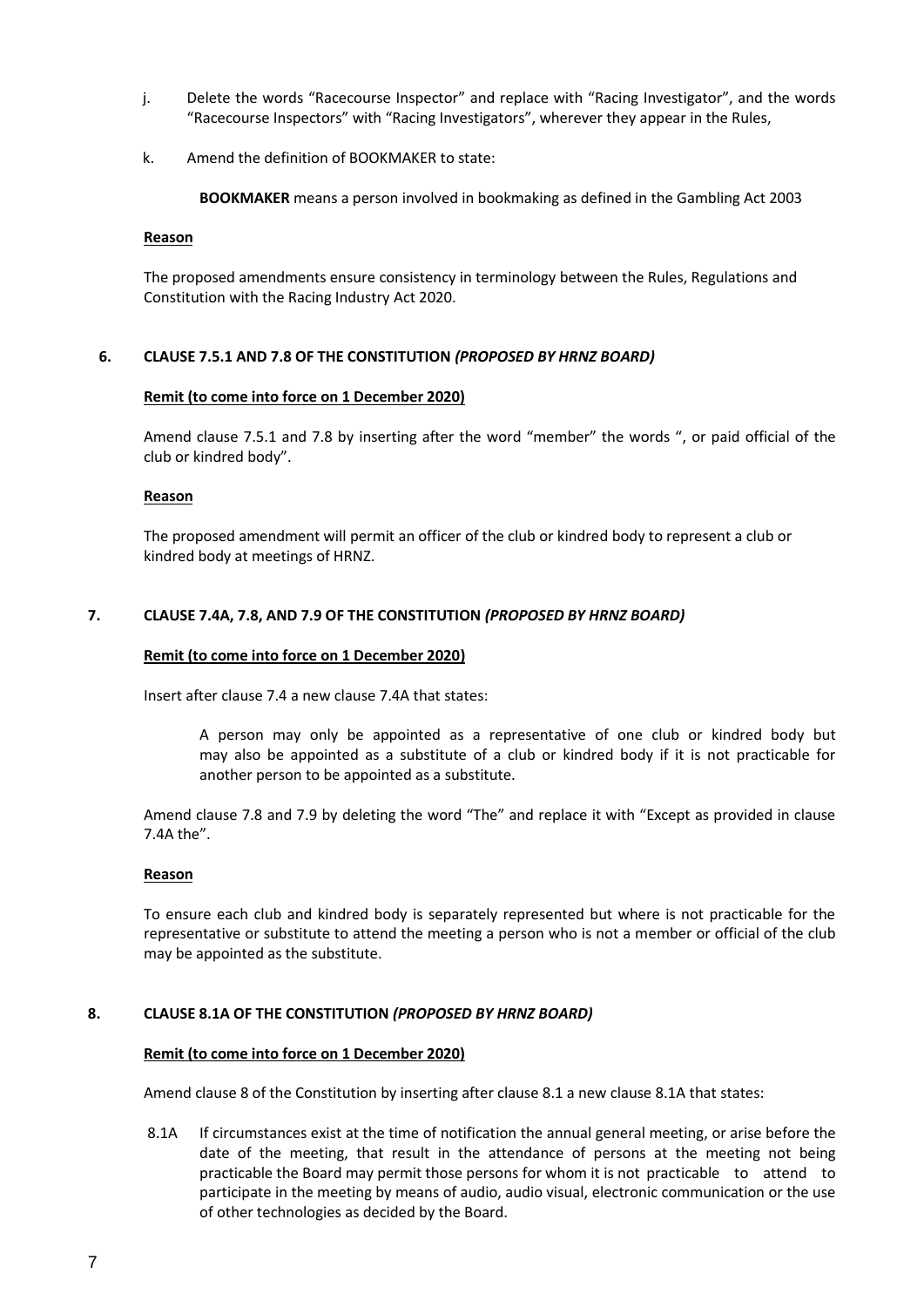- j. Delete the words "Racecourse Inspector" and replace with "Racing Investigator", and the words "Racecourse Inspectors" with "Racing Investigators", wherever they appear in the Rules,
- k. Amend the definition of BOOKMAKER to state:

**BOOKMAKER** means a person involved in bookmaking as defined in the Gambling Act 2003

#### **Reason**

The proposed amendments ensure consistency in terminology between the Rules, Regulations and Constitution with the Racing Industry Act 2020.

## **6. CLAUSE 7.5.1 AND 7.8 OF THE CONSTITUTION** *(PROPOSED BY HRNZ BOARD)*

#### **Remit (to come into force on 1 December 2020)**

Amend clause 7.5.1 and 7.8 by inserting after the word "member" the words ", or paid official of the club or kindred body".

#### **Reason**

The proposed amendment will permit an officer of the club or kindred body to represent a club or kindred body at meetings of HRNZ.

## **7. CLAUSE 7.4A, 7.8, AND 7.9 OF THE CONSTITUTION** *(PROPOSED BY HRNZ BOARD)*

#### **Remit (to come into force on 1 December 2020)**

Insert after clause 7.4 a new clause 7.4A that states:

A person may only be appointed as a representative of one club or kindred body but may also be appointed as a substitute of a club or kindred body if it is not practicable for another person to be appointed as a substitute.

Amend clause 7.8 and 7.9 by deleting the word "The" and replace it with "Except as provided in clause 7.4A the".

#### **Reason**

To ensure each club and kindred body is separately represented but where is not practicable for the representative or substitute to attend the meeting a person who is not a member or official of the club may be appointed as the substitute.

#### **8. CLAUSE 8.1A OF THE CONSTITUTION** *(PROPOSED BY HRNZ BOARD)*

#### **Remit (to come into force on 1 December 2020)**

Amend clause 8 of the Constitution by inserting after clause 8.1 a new clause 8.1A that states:

8.1A If circumstances exist at the time of notification the annual general meeting, or arise before the date of the meeting, that result in the attendance of persons at the meeting not being practicable the Board may permit those persons for whom it is not practicable to attend to participate in the meeting by means of audio, audio visual, electronic communication or the use of other technologies as decided by the Board.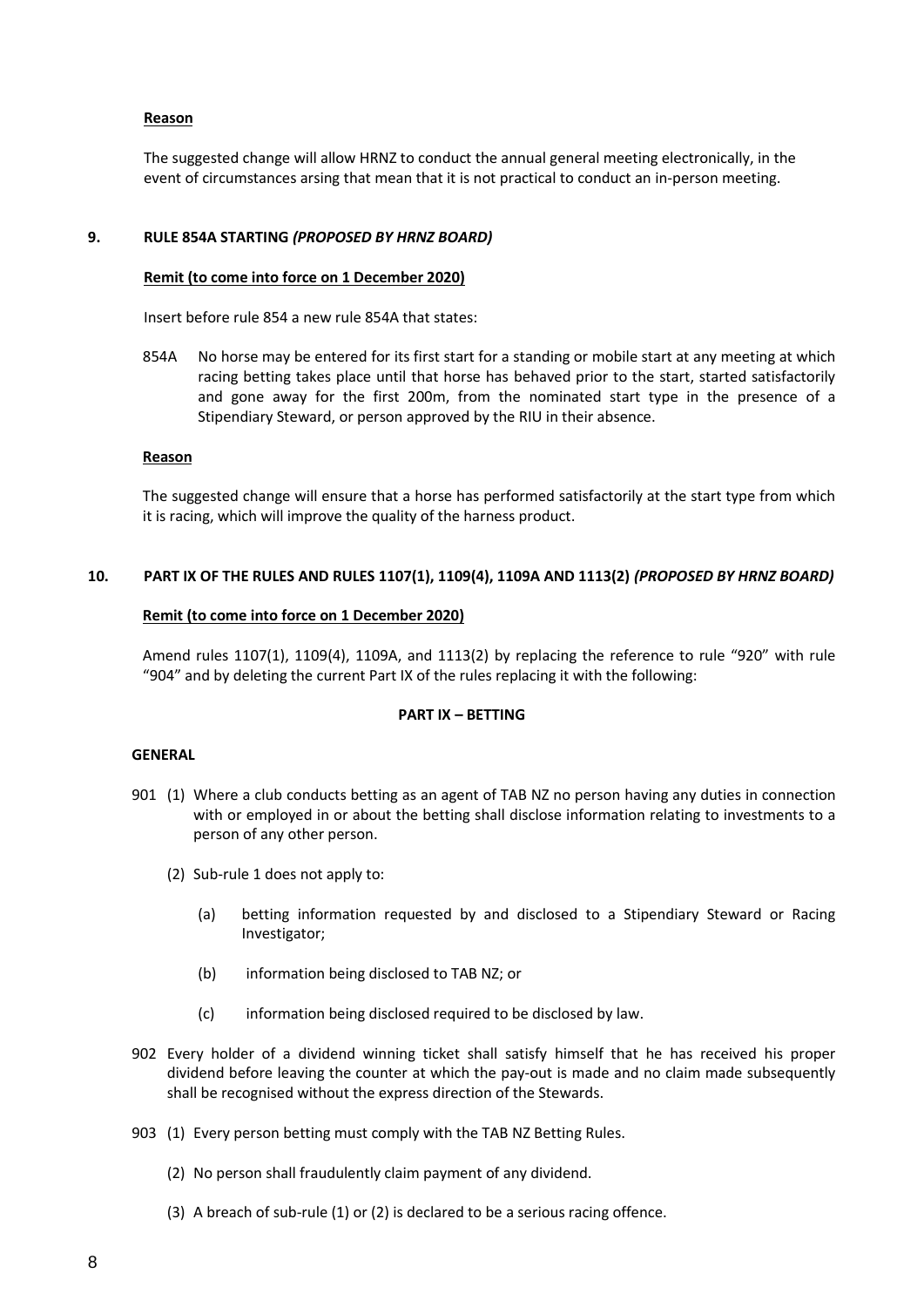## **Reason**

The suggested change will allow HRNZ to conduct the annual general meeting electronically, in the event of circumstances arsing that mean that it is not practical to conduct an in-person meeting.

## **9. RULE 854A STARTING** *(PROPOSED BY HRNZ BOARD)*

#### **Remit (to come into force on 1 December 2020)**

Insert before rule 854 a new rule 854A that states:

854A No horse may be entered for its first start for a standing or mobile start at any meeting at which racing betting takes place until that horse has behaved prior to the start, started satisfactorily and gone away for the first 200m, from the nominated start type in the presence of a Stipendiary Steward, or person approved by the RIU in their absence.

#### **Reason**

The suggested change will ensure that a horse has performed satisfactorily at the start type from which it is racing, which will improve the quality of the harness product.

## **10. PART IX OF THE RULES AND RULES 1107(1), 1109(4), 1109A AND 1113(2)** *(PROPOSED BY HRNZ BOARD)*

## **Remit (to come into force on 1 December 2020)**

Amend rules 1107(1), 1109(4), 1109A, and 1113(2) by replacing the reference to rule "920" with rule "904" and by deleting the current Part IX of the rules replacing it with the following:

# **PART IX – BETTING**

#### **GENERAL**

- 901 (1) Where a club conducts betting as an agent of TAB NZ no person having any duties in connection with or employed in or about the betting shall disclose information relating to investments to a person of any other person.
	- (2) Sub-rule 1 does not apply to:
		- (a) betting information requested by and disclosed to a Stipendiary Steward or Racing Investigator;
		- (b) information being disclosed to TAB NZ; or
		- (c) information being disclosed required to be disclosed by law.
- 902 Every holder of a dividend winning ticket shall satisfy himself that he has received his proper dividend before leaving the counter at which the pay-out is made and no claim made subsequently shall be recognised without the express direction of the Stewards.
- 903 (1) Every person betting must comply with the TAB NZ Betting Rules.
	- (2) No person shall fraudulently claim payment of any dividend.
	- (3) A breach of sub-rule (1) or (2) is declared to be a serious racing offence.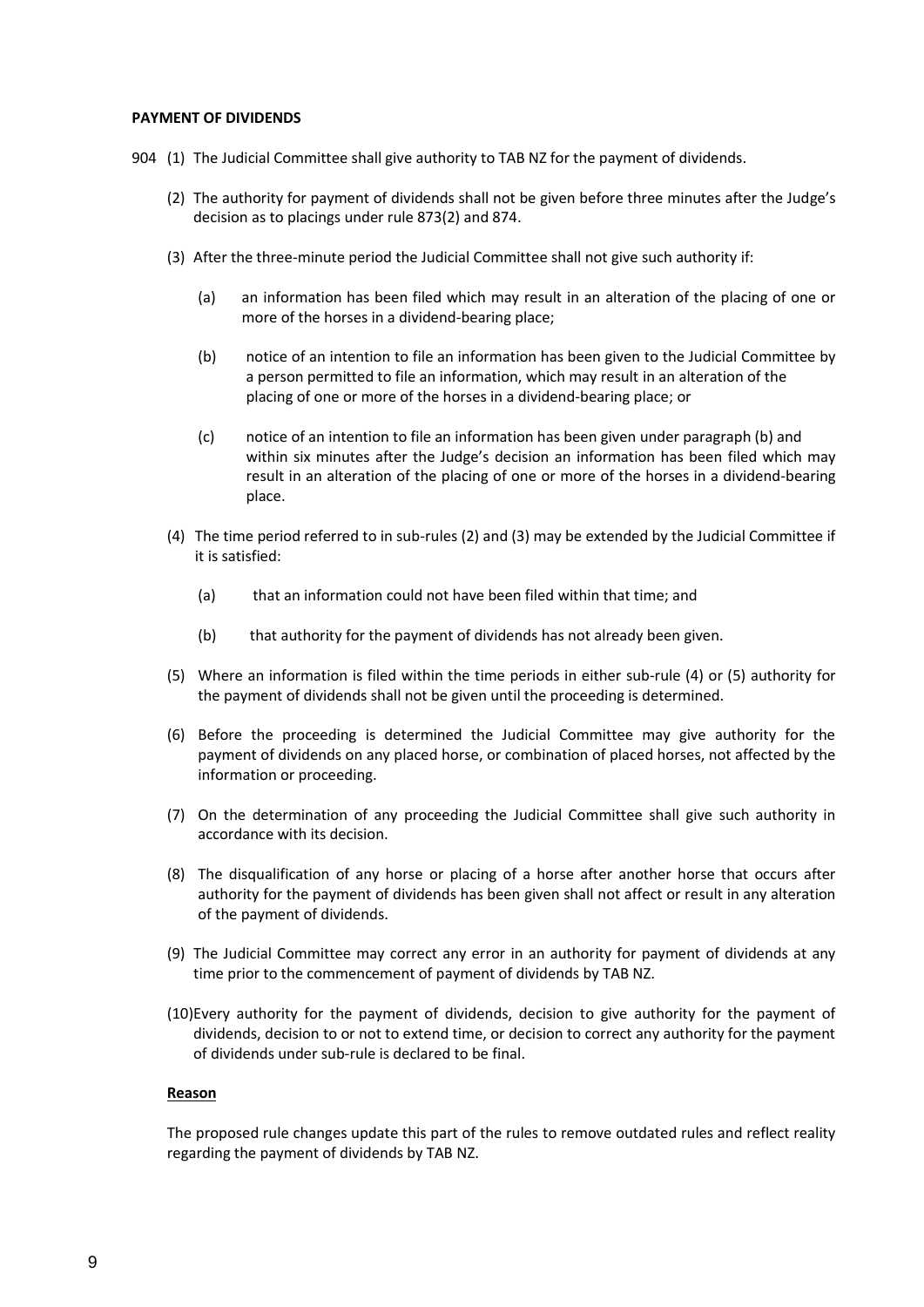#### **PAYMENT OF DIVIDENDS**

- 904 (1) The Judicial Committee shall give authority to TAB NZ for the payment of dividends.
	- (2) The authority for payment of dividends shall not be given before three minutes after the Judge's decision as to placings under rule 873(2) and 874.
	- (3) After the three-minute period the Judicial Committee shall not give such authority if:
		- (a) an information has been filed which may result in an alteration of the placing of one or more of the horses in a dividend-bearing place;
		- (b) notice of an intention to file an information has been given to the Judicial Committee by a person permitted to file an information, which may result in an alteration of the placing of one or more of the horses in a dividend-bearing place; or
		- (c) notice of an intention to file an information has been given under paragraph (b) and within six minutes after the Judge's decision an information has been filed which may result in an alteration of the placing of one or more of the horses in a dividend-bearing place.
	- (4) The time period referred to in sub-rules (2) and (3) may be extended by the Judicial Committee if it is satisfied:
		- (a) that an information could not have been filed within that time; and
		- (b) that authority for the payment of dividends has not already been given.
	- (5) Where an information is filed within the time periods in either sub-rule  $(4)$  or  $(5)$  authority for the payment of dividends shall not be given until the proceeding is determined.
	- (6) Before the proceeding is determined the Judicial Committee may give authority for the payment of dividends on any placed horse, or combination of placed horses, not affected by the information or proceeding.
	- (7) On the determination of any proceeding the Judicial Committee shall give such authority in accordance with its decision.
	- (8) The disqualification of any horse or placing of a horse after another horse that occurs after authority for the payment of dividends has been given shall not affect or result in any alteration of the payment of dividends.
	- (9) The Judicial Committee may correct any error in an authority for payment of dividends at any time prior to the commencement of payment of dividends by TAB NZ.
	- (10)Every authority for the payment of dividends, decision to give authority for the payment of dividends, decision to or not to extend time, or decision to correct any authority for the payment of dividends under sub-rule is declared to be final.

## **Reason**

The proposed rule changes update this part of the rules to remove outdated rules and reflect reality regarding the payment of dividends by TAB NZ.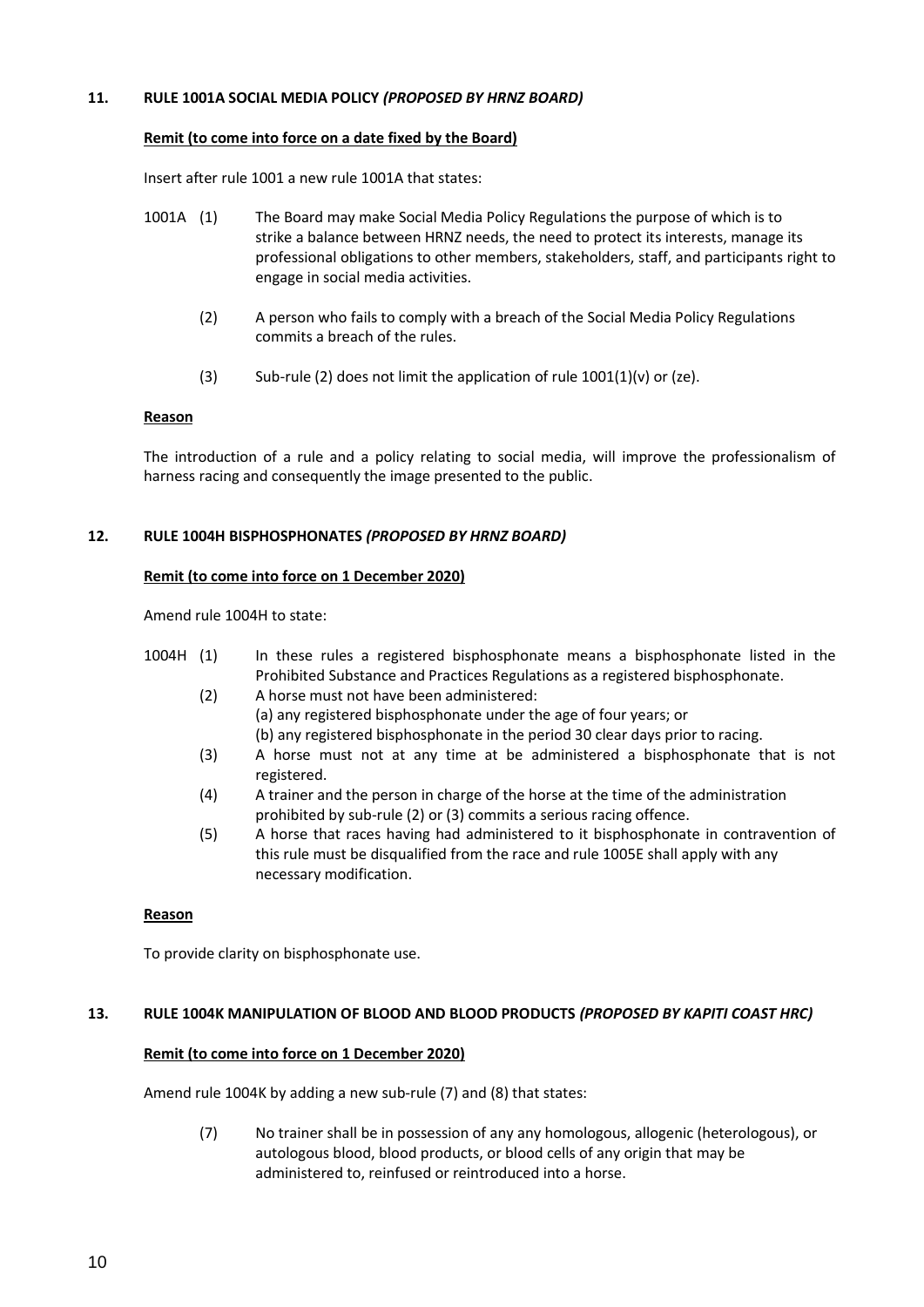## **11. RULE 1001A SOCIAL MEDIA POLICY** *(PROPOSED BY HRNZ BOARD)*

#### **Remit (to come into force on a date fixed by the Board)**

Insert after rule 1001 a new rule 1001A that states:

- 1001A (1) The Board may make Social Media Policy Regulations the purpose of which is to strike a balance between HRNZ needs, the need to protect its interests, manage its professional obligations to other members, stakeholders, staff, and participants right to engage in social media activities.
	- (2) A person who fails to comply with a breach of the Social Media Policy Regulations commits a breach of the rules.
	- (3) Sub-rule (2) does not limit the application of rule  $1001(1)(v)$  or (ze).

## **Reason**

The introduction of a rule and a policy relating to social media, will improve the professionalism of harness racing and consequently the image presented to the public.

# **12. RULE 1004H BISPHOSPHONATES** *(PROPOSED BY HRNZ BOARD)*

## **Remit (to come into force on 1 December 2020)**

Amend rule 1004H to state:

- 1004H (1) In these rules a registered bisphosphonate means a bisphosphonate listed in the Prohibited Substance and Practices Regulations as a registered bisphosphonate.
	- (2) A horse must not have been administered: (a) any registered bisphosphonate under the age of four years; or (b) any registered bisphosphonate in the period 30 clear days prior to racing.
	- (3) A horse must not at any time at be administered a bisphosphonate that is not registered.
	- (4) A trainer and the person in charge of the horse at the time of the administration prohibited by sub-rule (2) or (3) commits a serious racing offence.
	- (5) A horse that races having had administered to it bisphosphonate in contravention of this rule must be disqualified from the race and rule 1005E shall apply with any necessary modification.

#### **Reason**

To provide clarity on bisphosphonate use.

# **13. RULE 1004K MANIPULATION OF BLOOD AND BLOOD PRODUCTS** *(PROPOSED BY KAPITI COAST HRC)*

# **Remit (to come into force on 1 December 2020)**

Amend rule 1004K by adding a new sub-rule (7) and (8) that states:

(7) No trainer shall be in possession of any any homologous, allogenic (heterologous), or autologous blood, blood products, or blood cells of any origin that may be administered to, reinfused or reintroduced into a horse.